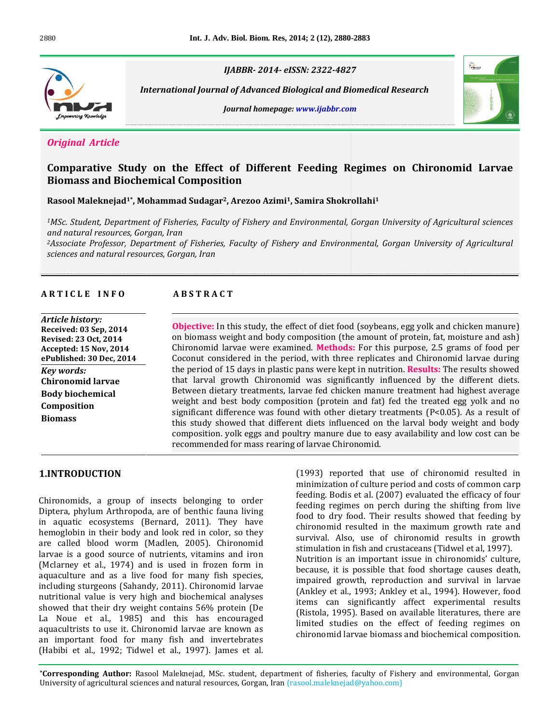

*2014- eISSN: 2322-4827*

 *Journal of Advanced Biological and Biomedical Research homepage: www.ijabbr.com*





# *<u>Original Article</u>*

# **Study on the Effect of Different Feeding Regimes on Chironomid Larvae** <mark>A*rticle*<br>tive Study on the Effect of Different<br>and Biochemical Composition</mark> Comparative Study on the Effect of Different Feeding Regimes on<br>Biomass and Biochemical Composition<br>Rasool Malekneiad<sup>1\*</sup>, Mohammad Sudagar<sup>2</sup>, Arezoo Azimi<sup>1</sup>, Samira Shokrollahi<sup>1</sup> arative Study on the Effect of D<br>Iss and Biochemical Composition<br>Malekneiad<sup>1\*</sup>.Mohammad Sudagar<sup>2</sup>.Arezo

*1MSc.and*

*International*

 *Student, Department of Fisheries, Faculty of Fishery and Environmental, Gorgan University of Agricultural sciences* **ool Maleknejad<sup>1\*</sup>, Mohammad Sudaga**<br>*c. Student, Department of Fisheries, Facu*<br>natural resources. Goraan. Iran *2Associate Professor, Department of Fisheries, Faculty of Fishery and Environmental, Gorgan University ofAgricultural sciences and natural resources, Gorgan, Iran*

**AR T I** CLE **I** NFO **ABSTRACT** 

# *Article history:* **Received:**

**Revised:**

#### **ABSTRACT**

Chironomid

 **<sup>03</sup> Sep, <sup>2014</sup>** *23 istory:*<br>23 Sep, 2014<br>23 Oct, 2014 **Article history: <sup>15</sup> Nov, <sup>2014</sup> Received:** 0. **3 Sep, 2014<br>Oct, 2014<br>5 Nov, 2014<br>30 Dec. 2014** *s*ed: 23 Oct, <br>pted: 15 Nov<br>plished: 30 D<br>*words:* **Revised: 23 Oct, 2014 lov, 2014<br><u>0 Dec, 2014</u><br>larvae Accepted: 15 Nov, 2014** <u>ePubl</u> ePublished: 30 Dec, 2014<br>*Key words:*<br>Chironomid larvae<br>Body biochemical **Kev** words: Composition **Biomass** 

 $\frac{1}{10}$ reported that use of chironomid resulted in of further different In this study, the effect of diet food (sovbeans, egg yolk and chicken manure) **jective:** In this study, the effect of diet food (soybeans, egg yolk and chicken manure)<br>biomass weight and body composition (the amount of protein, fat, moisture and ash) larkae this study, the effect of diet food (soybeans, egg yolk and chicken manure)<br>weight and body composition (the amount of protein, fat, moisture and ash)<br>larvae were examined. **Methods:** For this purpose. 2.5 grams of Objectiv e: In this study, the effect of diet food (soybeans, egg yolk and chicken manure)<br>iss weight and body composition (the amount of protein, fat, moisture and ash)<br>ind larvae were examined. **Methods:** For this purpose, 2.5 gr on biomass weight and body composition (the amount of protein, fat, moisture and ash)<br>Chironomid larvae were examined. **Methods:** For this purpose, 2.5 grams of food per<br>Coconut considered in the period, with three replica Chironomid larvae were examined. Methods: For this purpose, 2.5 grams of food per Chironomid larvae were examined. **Methods:** For this purpose, 2.5 grams of food per Coconut considered in the period, with three replicates and Chironomid larvae during the period of 15 days in plastic pans were kept in nu considered in the period, with three replicates and Chironomid larvae during<br>d of 15 days in plastic pans were kept in nutrition. **Results:** The results showed<br>al growth Chironomid was significantly influenced by the the period of 15 days in plastic pans were kept in nutrition. **Results:** The results showed od of 15 days in plastic pans were kept in nutrition. **Results:** The results showed<br>val growth Chironomid was significantly influenced by the different diets.<br>n dietary treatments, larvae fed chicken manure treatment had h that larva growth Chironomid was significantly influenced by the different diets.<br>
Letary treatments, larvae fed chicken manure treatment had highest average<br>
Letary treatments (Pesilent) of the significant of the significance was fo Between dietary treatments, larvae fed chicken manure treatment had highest average by veen dietary treatments, larvae fed chicken manure treatment had highest average<br>that and best body composition (protein and fat) fed the treated egg yolk and no<br>ficant difference was found with other dietary treatment weight and best body composition (protein and fat) fed the treated egg yolk and no<br>significant difference was found with other dietary treatments (P<0.05). As a result of<br>this study showed that different diets influenced o significant difference was found with other dietary treatments ( $P<0.05$ ). As a result of this study showed that different diets influenced on the larval body weight and body composition. yolk eggs and poultry manure due to easy availability and low cost can be

#### $\overline{a}$  chironomids, Diptera,

an important food for many fish and invertebrates (Habibi et al., 1992; Tidwel et al., 1997). James et al. **Authority Collect Many 1988** and Movertebrates<br> **Authoric Malensis (Habibi et al., 1992; Tidwel et al., 1997).** James et al.<br> **Corresponding Author:** Rasool Malekneiad, MSc. student, department of fisheries, faculty of Fi **TION**<br>a group of insects belonging to order **DDUCTION**<br>nids, a group of insects belonging to order<br>phylum Arthropoda, are of benthic fauna living ronomids, a group of insects belonging to order<br>tera, phylum Arthropoda, are of benthic fauna living<br>aquatic ecosystems (Bernard, 2011). They have Chironomid in the group of insects belonging to order<br>
lum Arthropoda, are of benthic fauna living<br>
ecosystems (Bernard, 2011). They have<br>
in their body and look red in color, so they Dip era, phylum Arthropoda, are of benthic fauna living<br>quatic ecosystems (Bernard, 2011). They have<br>oglobin in their body and look red in color, so they<br>called blood worm (Madlen, 2005). Chironomid in aq vatic ecosystems (Bernard, 2011). They have<br>
obin in their body and look red in color, so they<br>
lled blood worm (Madlen, 2005). Chironomid<br>
is a good source of nutrients, vitamins and iron hemoglobin in their body and look red in color, so they<br>are called blood worm (Madlen, 2005). Chironomid<br>larvae is a good source of nutrients, vitamins and iron<br>(Mclarney et al., 1974) and is used in frozen form in are called blood worm (Madlen, 2005). Chironomid are called blood worm (Madlen, 2005). Chironomid<br>larvae is a good source of nutrients, vitamins and iron<br>(Mclarney et al., 1974) and is used in frozen form in<br>aquaculture and as a live food for many fish species. a good source of nutrients, vitamins and iron<br>
in et al., 1974) and is used in frozen form in<br>
in er and as a live food for many fish species,<br>
sturgeons (Sahandy, 2011). Chironomid larvae (Mclarney et al., 1974) and is used in frozen form in et al., 1974) and is used in frozen form in<br>et and as a live food for many fish species,<br>urgeons (Sahandy, 2011). Chironomid larvae<br>value is very high and biochemical analyses aquaculture and as a live food for many fish species,<br>including sturgeons (Sahandy, 2011). Chironomid larvae<br>nutritional value is very high and biochemical analyses<br>showed that their dry weight contains 56% protein (De including sturgeons (Sahandy, 2011). Chironomid larvae nding sturgeons (Sahandy, 2011). Chironomid larvae<br>itional value is very high and biochemical analyses<br>ved that their dry weight contains 56% protein (De<br>Noue et al., 1985) and this has encouraged nutritional v lue is very high and biochemical analyses<br>their dry weight contains 56% protein (De<br>al., 1985) and this has encouraged<br>to use it. Chironomid larvae are known as showed that their dry weight contains 56% protein (De wed that their dry weight contains 56% protein (De<br>Noue et al., 1985) and this has encouraged<br>acultrists to use it. Chironomid larvae are known as<br>important food for many fish and invertebrates La Noue et al., 1985) and this has encouraged<br>aquacultrists to use it. Chironomid larvae are known as<br>an important food for many fish and invertebrates<br>(Habibi et al., 1992: Tidwel et al., 1997). James et al.

of culture period and costs of common carp<br>of culture period and costs of common carp reported that use of chironomid resulted in<br>ation of culture period and costs of common carp<br>Bodis et al. (2007) evaluated the efficacy of four (1993) reported that use of chironomid resulted in<br>minimization of culture period and costs of common carp<br>feeding Foldis et al. (2007) evaluated the efficacy of four<br>feeding regimes on perch during the shifting from live minimization of culture period and costs of common carp mization of culture period and costs of common carp<br>ng. Bodis et al. (2007) evaluated the efficacy of four<br>ng regimes on perch during the shifting from live<br>to dry food. Their results showed that feeding by feeding. Bodis et al. (2007) evaluated the efficacy of four is et al. (2007) evaluated the efficacy of four<br>mes on perch during the shifting from live<br>food. Their results showed that feeding by<br>resulted in the maximum growth rate and feeding regimes on perch during the shifting from live<br>food to dry food. Their results showed that feeding by<br>chironomid resulted in the maximum growth rate and<br>survival. Also, use of chironomid results in growth food to dry food. Their results showed that feeding by chironomid resulted in the maximum growth rate and survival. Also, use of chironomid results in growth chironomid resulted in the maximum growth rate and<br>survival. Also, use of chironomid results in growth<br>stimulation in fish and crustaceans (Tidwel et al, 1997).<br>Nutrition is an important issue in chironomids' culture. survival. Also, use of chironomid results in growth<br>stimulation in fish and crustaceans (Tidwel et al, 1997).<br>Nutrition is an important issue in chironomids' culture,<br>because, it is possible that food shortage causes death n in fish and crustaceans (Tidwel et al, 1997).<br>is an important issue in chironomids' culture,<br>t is possible that food shortage causes death,<br>growth, reproduction and survival in larvae Nutrition is an important issue in chironomids' culture,<br>because, it is possible that food shortage causes death,<br>impaired growth, reproduction and survival in larvae<br>(Ankley et al., 1993: Ankley et al., 1994). However, fo because, it is possible that food shortage causes death. e, it is possible that food shortage causes death,<br>d growth, reproduction and survival in larvae<br>et al., 1993; Ankley et al., 1994). However, food<br>can significantly affect experimental results impaired growth, reproduction and survival in larvae<br>(Ankley et al., 1993; Ankley et al., 1994). However, food<br>items can significantly affect experimental results<br>(Ristola, 1995). Based on available literatures, there are (Ankley et al., 1993; Ankley et al., 1994). However, food et al., 1993; Ankley et al., 1994). However, food<br>an significantly affect experimental results<br>1995). Based on available literatures, there are<br>studies on the effect of feeding regimes on items can significantly affect experimental results significantly affect experimental results<br>95). Based on available literatures, there are<br>dies on the effect of feeding regimes on<br>larvae biomass and biochemical composition.

t al., 1992; Tidwel et al., 1997). James et al.<br> **of agricultural sciences and natural resources**. Gorgan, Iran (rasool.maleknejad@yahoo.com)<br>
of agricultural sciences and natural resources. Gorgan, Iran (rasool.maleknejad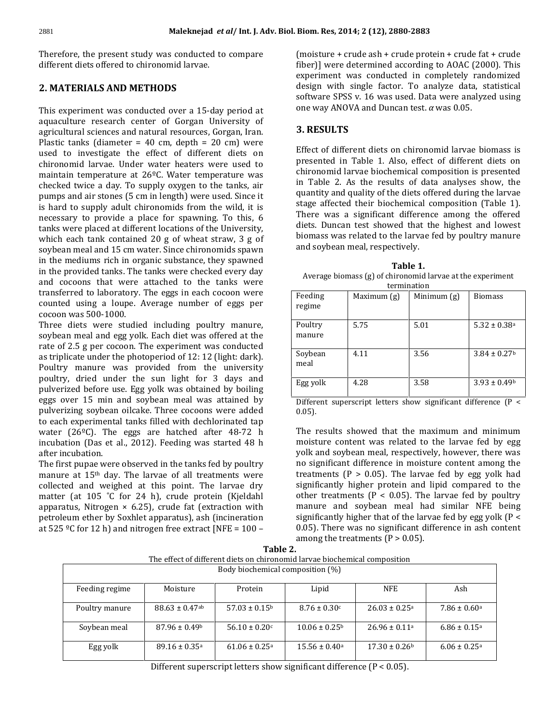Maleknejad *et al* / Int. J. Adv. Biol.<br>the present study was conducted to compare maleknejad *et*<br>Therefore, the present study was conducted to chironomid larvae. different diets offered to chironomid larvae.

## 2. MATERIALS AND METHODS

**ATERIALS AND METHODS**<br>experiment was conducted over a 15-day period at **LS AND METHODS**<br>ent was conducted over a 15-day period at<br>research center of Gorgan University of This experiment was conducted over a 15-day period at<br>aquaculture research center of Gorgan University of<br>agricultural sciences and natural resources. Gorgan. Iran. periment was conducted over a 15-day period at<br>lture research center of Gorgan University of<br>ural sciences and natural resources, Gorgan, Iran.<br>tanks (diameter = 40 cm, depth = 20 cm) were aqua ulture research center of Gorgan University of<br>Itural sciences and natural resources, Gorgan, Iran.<br>2 tanks (diameter = 40 cm, depth = 20 cm) were<br>to investigate the effect of different diets on agricultural sciences and natural resources, Gorgan, Iran.<br>Plastic tanks (diameter = 40 cm, depth = 20 cm) were<br>used to investigate the effect of different diets on<br>chironomid larvae. Under water heaters were used to Plastic tanks (diameter =  $40$  cm, depth =  $20$  cm) were nks (diameter = 40 cm, depth = 20 cm) were<br>investigate the effect of different diets on<br>id larvae. Under water heaters were used to<br>temperature at  $26^{\circ}$ C. Water temperature was used to investigate the effect of different diets on<br>iid larvae. Under water heaters were used to<br>temperature at  $26^{\circ}$ C. Water temperature was<br>twice a day. To supply oxygen to the tanks, air chironomid larvae. Under water heaters were used to mid larvae. Under water heaters were used to<br>in temperature at 26ºC. Water temperature was<br>d twice a day. To supply oxygen to the tanks, air<br>and air stones (5 cm in length) were used. Since it  $\overline{m}$ hard to supperature at  $26^{\circ}$ C. Water temperature was ecked twice a day. To supply oxygen to the tanks, air mps and air stones (5 cm in length) were used. Since it hard to supply adult chironomids from the wild, it is checked twice a day. To supply oxygen to the tanks, air Figure a day. To supply oxygen to the tanks, air<br>
air stones (5 cm in length) were used. Since it<br>
supply adult chironomids from the wild, it is<br>
to provide a place for spawning. To this, 6 pump pumps and air stones (5 cm in length) were used. Since it<br>is hard to supply adult chironomids from the wild, it is<br>necessary to provide a place for spawning. To this, 6<br>tanks were placed at different locations of the Unive I to supply adult chironomids from the wild, it is<br>ary to provide a place for spawning. To this, 6<br>vere placed at different locations of the University,<br>each tank contained 20 g of wheat straw, 3 g of necessary to provide a place for spawning. To this, 6 y to provide a place for spawning. To this, 6<br>replaced at different locations of the University, and tank contained 20 g of wheat straw, 3 g of b<br>meal and 15 cm water. Since chironomids spawn tanks were placed at different locations of the University, hks were placed at different locations of the University,<br>
iich each tank contained 20 g of wheat straw, 3 g of<br>
ybean meal and 15 cm water. Since chironomids spawn<br>
the mediums rich in organic substance, they spawned which each tank contained 20 g of wheat straw, 3 g of<br>soybean meal and 15 cm water. Since chironomids spawn<br>in the mediums rich in organic substance, they spawned<br>in the provided tanks. The tanks were checked every day soybean meal and 15 cm water. Since chironomids spawn ean meal and 15 cm water. Since chironomids spawn<br>e mediums rich in organic substance, they spawned<br>e provided tanks. The tanks were checked every day<br>cocoons that were attached to the tanks were in the mediums rich in organic substance, they spawned the laboratory. The tanks were checked every day<br>of that were attached to the tanks were<br>to laboratory. The eggs in each cocoon were in the provided tanks. The tanks were checked every day<br>and cocoons that were attached to the tanks were<br>transferred to laboratory. The eggs in each cocoon were<br>counted using a loupe. Average number of eggs per and cocoons that were<br>transferred to laboratory.<br>counted using a loupe.<br>cocoon was 500-1000. transferred to laboratory. The eggs in each cocoon were counted using a loupe. Average number of eggs per cocoon was 500-1000.<br>Three diets were studied including poultry manure, soybean meal and egg yolk. Each diet was offered at the  $c_{0}$ coon was 500-1000.

on was 500-1000.<br>
e diets were studied including poultry manure,<br>
ean meal and egg yolk. Each diet was offered at the<br>
of 2.5 g per cocoon. The experiment was conducted Th Three diets were studied including poultry manure, soybean meal and egg yolk. Each diet was offered at the rate of 2.5 g per cocoon. The experiment was conducted as triplicate under the photoperiod of 12: 12 (light: dark). meal and egg yolk. Each diet was offered at the<br>5 g per cocoon. The experiment was conducted<br>ate under the photoperiod of 12: 12 (light: dark).<br>manure was provided from the university rate of 2 5 g per cocoon. The experiment was conducted<br>te under the photoperiod of 12: 12 (light: dark).<br>manure was provided from the university<br>dried under the sun light for 3 days and as triplicate under the photoperiod of 12: 12 (light: dark).<br>
Poultry manure was provided from the university<br>
poultry, dried under the sun light for 3 days and<br>
pulverized before use. Egg yolk was obtained by boiling Poultry manure was provided from the university For manure was provided from the university<br>
ry, dried under the sun light for 3 days and<br>
rized before use. Egg yolk was obtained by boiling<br>
over 15 min and sovbean meal was attained by poultry, dried under the sun light for 3 days and Exercise the sun light for 3 days and before use. Egg yolk was obtained by boiling<br>5 min and soybean meal was attained by  $\mathsf{p}$ Experized before use. Egg yolk was obtained by boiling<br>gs over 15 min and soybean meal was attained by<br>lyerizing soybean oilcake. Three cocoons were added<br>each experimental tanks filled with dechlorinated tap eggs over 15 min and soybean meal was attained by<br>pulverizing soybean oilcake. Three cocoons were added to<br>each experimental tanks filled with dechlorinated tap<br>water (26ºC). The eggs are hatched after 48-72 h pulverizing soybean oilcake. Three cocoons were added soybean oilcake. Three cocoons were added<br>erimental tanks filled with dechlorinated tap<br>C). The eggs are hatched after 48-72 h<br>(Das et al., 2012). Feeding was started 48 h to each experimental tanks filled with dechlorinated tap to each experiment:<br>water (26ºC). The<br>incubation (Das et<br>after incubation. Firm (26°C). The eggs are hatched after 48-72 h bation (Das et al., 2012). Feeding was started 48 h incubation. after incubation.

incubation (Das et al., 2012). Feeding was started 48 h<br>after incubation.<br>The first pupae were observed in the tanks fed by poultry<br>manure at 15<sup>th</sup> day. The larvae of all treatments were pation.<br>upae were observed in the tanks fed by poultry<br>t 15<sup>th</sup> day. The larvae of all treatments were<br>and weighed at this point. The larvae dry The first pupae were observed in the tanks fed by poultry Example were observed in the tanks fed by poultry<br>at  $15<sup>th</sup>$  day. The larvae of all treatments were<br>d and weighed at this point. The larvae dry<br>(at  $105$   $°C$  for  $24$  h), crude protein (Kieldahl manure at 15<sup>th</sup> day. The larvae of all treatments were<br>
nd weighed at this point. The larvae dry<br>
105 °C for 24 h), crude protein (Kjeldahl o<br>
Nitrogen × 6.25), crude fat (extraction with n collected and weighed at this point. The larvae dry and weighed at this point. The larvae dry<br>
105 °C for 24 h), crude protein (Kjeldahl o<br>
Nitrogen × 6.25), crude fat (extraction with n<br>
ether by Soxhlet apparatus), ash (incineration s  $\overline{m}$ atter (at 105 °C for 24 h), crude protein (Kjeldahl<br>paratus, Nitrogen × 6.25), crude fat (extraction with<br>troleum ether by Soxhlet apparatus), ash (incineration<br>525 °C for 12 h) and nitrogen free extract [NFE = 100 – apparatus, Nitrogen  $\times$  6.25), crude fat (extraction with manure and soybean meal had similar NFE being petroleum ether by Soxhlet apparatus), ash (incineration at 525  $^{\circ}$ C for 12 h) and nitrogen free extract [NFE = 1 apparatus), ash (incineration significantly pen free extract [NFE = 100 - 0.05].<br> **2.** Table 2.

2014; 2 (12), 2880-2883<br>+ crude ash + crude protein + crude fat + crude **kes, 2014; 2 (12), 2880-2883<br>ure + crude ash + crude protein + crude fat + crude<br>were determined according to AOAC (2000). This** crude ash + crude protein + crude fat + crude<br>determined according to AOAC (2000). This<br>was conducted in completely randomized (moist re + crude ash + crude protein + crude fat + crude<br>were determined according to AOAC (2000). This<br>lent was conducted in completely randomized<br>with single factor. To analyze data, statistical fiber)] were determined according to AOAC (2000). This ere determined according to AOAC (2000). This<br>nt was conducted in completely randomized<br>ith single factor. To analyze data, statistical<br>SPSS v. 16 was used. Data were analyzed using exp experiment was conducted in completely randesign with single factor. To analyze data, s<br>software SPSS v. 16 was used. Data were analyz<br>one way ANOVA and Duncan test.  $\alpha$  was 0.05. software SPSS v. 16 was used. Data were analyzed using one way ANOVA and Duncan test.  $\alpha$  was 0.05.

## 3. RESULTS

3. RESULTS<br>Effect of different diets on chironomid larvae biomass is **rs**<br>fferent diets on chironomid larvae biomass is<br>in Table 1. Also, effect of different diets on ferent diets on chironomid larvae biomass is<br>1 Table 1. Also, effect of different diets on<br>larvae biochemical composition is presented ect of different diets on chironomid larvae biomass is<br>sented in Table 1. Also, effect of different diets on<br>ronomid larvae biochemical composition is presented<br>Table 2. As the results of data analyses show, the presented in Table 1. Also, effect of different diets on chironomid larvae biochemical composition is presented in Table 2. As the results of data analyses show, the quantity and quality of the diets offered during the lar chironomid larvae biochemical composition is presented chironomid larvae biochemical composition is presented<br>in Table 2. As the results of data analyses show, the<br>quantity and quality of the diets offered during the larvae<br>stage affected their biochemical composition (Table 1 le 2. As the results of data analyses show, the<br>y and quality of the diets offered during the larvae<br>ffected their biochemical composition (Table 1).<br>was a significant difference among the offered quantity and quality of the diets offered during the larvae ty and quality of the diets offered during the larvae<br>affected their biochemical composition (Table 1).<br>was a significant difference among the offered<br>Duncan test showed that the highest and lowest stage affected their biochemical composition (Table 1).<br>There was a significant difference among the offered<br>diets. Duncan test showed that the highest and lowest<br>biomass was related to the larvae fed by poultry manure There was a significant difference among the offered re was a significant difference S. Duncan test showed that the sass was related to the larvae is sovbean meal, respectively. omass was related to the larvae fed b<br>nd soybean meal, respectively.<br>**1.** Table 1.

and soybean meal, respectively.<br> **Table 1.**<br>
Average biomass (g) of chironomid larvae at the experiment

| Table 1.                                                                |             |               |                              |  |  |  |  |  |
|-------------------------------------------------------------------------|-------------|---------------|------------------------------|--|--|--|--|--|
| Average biomass (g) of chironomid larvae at the experiment              |             |               |                              |  |  |  |  |  |
| termination                                                             |             |               |                              |  |  |  |  |  |
| Feeding                                                                 | Maximum (g) | Minimum $(g)$ | <b>Biomass</b>               |  |  |  |  |  |
| regime                                                                  |             |               |                              |  |  |  |  |  |
|                                                                         |             |               |                              |  |  |  |  |  |
| Poultry                                                                 | 5.75        | 5.01          | $5.32 \pm 0.38$ <sup>a</sup> |  |  |  |  |  |
| manure                                                                  |             |               |                              |  |  |  |  |  |
|                                                                         |             |               |                              |  |  |  |  |  |
| Soybean                                                                 | 4.11        | 3.56          | $3.84 \pm 0.27$              |  |  |  |  |  |
| meal                                                                    |             |               |                              |  |  |  |  |  |
|                                                                         |             |               |                              |  |  |  |  |  |
| Egg yolk                                                                | 4.28        | 3.58          | $3.93 \pm 0.49$ <sup>b</sup> |  |  |  |  |  |
|                                                                         |             |               |                              |  |  |  |  |  |
| Different superscript letters show significant difference (P<br>$\prec$ |             |               |                              |  |  |  |  |  |

Different superscript letters show significant difference ( $P < 0.05$ ).<br>The results showed that the maximum and minimum  $0.05$ ). yolk

content was related to the larvae fed by egg<br>content was related to the larvae fed by egg results showed that the maximum and minimum<br>ture content was related to the larvae fed by egg<br>and sovbean meal, respectively, however, there was Th e results showed that the maximum and minimum<br>isture content was related to the larvae fed by egg<br>k and soybean meal, respectively, however, there was<br>significant difference in moisture content among the moisture c % ontent was related to the larvae fed by egg<br>ybean meal, respectively, however, there was<br>nt difference in moisture content among the<br> $(P > 0.05)$ . The larvae fed by egg yolk had yolk and soybean meal, respectively, however, there was<br>no significant difference in moisture content among the<br>treatments (P > 0.05). The larvae fed by egg yolk had<br>significantly higher protein and lipid compared to the no significant difference in moisture content among the<br>treatments (P > 0.05). The larvae fed by egg yolk had<br>significantly higher protein and lipid compared to the<br>other treatments (P < 0.05). The larvae fed by poultry treatments ( $P > 0.05$ ). The larvae fed by egg yolk had ts ( $P > 0.05$ ). The larvae fed by egg yolk had<br>tly higher protein and lipid compared to the<br>atments ( $P < 0.05$ ). The larvae fed by poultry<br>and sovbean meal had similar NFE being significantly higher protein and lipid compared to the higher protein and lipid compared to the lents ( $P < 0.05$ ). The larvae fed by poultry d soybean meal had similar NFE being higher that of the larvae fed by egg yolk ( $P <$ other treatments ( $P < 0.05$ ). The larvae fed by poultry<br>manure and soybean meal had similar NFE being<br>significantly higher that of the larvae fed by egg yolk ( $P < 0.05$ ). There was no significant difference in ash content manure and soybean meal had similar NFE being among the treatments ( $P > 0.05$ ).<br>Table 2.

|                                                                            | among the treatments $(P > 0.05)$ . |                               |                               |                               |                              |  |  |  |
|----------------------------------------------------------------------------|-------------------------------------|-------------------------------|-------------------------------|-------------------------------|------------------------------|--|--|--|
| Table 2.                                                                   |                                     |                               |                               |                               |                              |  |  |  |
| The effect of different diets on chironomid larvae biochemical composition |                                     |                               |                               |                               |                              |  |  |  |
| Body biochemical composition (%)                                           |                                     |                               |                               |                               |                              |  |  |  |
|                                                                            |                                     |                               |                               |                               |                              |  |  |  |
| Feeding regime                                                             | Moisture                            | Protein                       | Lipid                         | <b>NFE</b>                    | Ash                          |  |  |  |
|                                                                            |                                     |                               |                               |                               |                              |  |  |  |
| Poultry manure                                                             | $88.63 \pm 0.47$ <sup>ab</sup>      | $57.03 \pm 0.15^{\circ}$      | $8.76 \pm 0.30$ c             | $26.03 \pm 0.25$ <sup>a</sup> | $7.86 \pm 0.60$ <sup>a</sup> |  |  |  |
|                                                                            |                                     |                               |                               |                               |                              |  |  |  |
| Soybean meal                                                               | $87.96 \pm 0.49$ <sup>b</sup>       | $56.10 \pm 0.20$ c            | $10.06 \pm 0.25^{\circ}$      | $26.96 \pm 0.11a$             | $6.86 \pm 0.15$ <sup>a</sup> |  |  |  |
|                                                                            |                                     |                               |                               |                               |                              |  |  |  |
| Egg yolk                                                                   | $89.16 \pm 0.35$ <sup>a</sup>       | $61.06 \pm 0.25$ <sup>a</sup> | $15.56 \pm 0.40$ <sup>a</sup> | $17.30 \pm 0.26$ <sup>b</sup> | $6.06 \pm 0.25$ <sup>a</sup> |  |  |  |
|                                                                            |                                     |                               |                               |                               |                              |  |  |  |

Different superscript letters show significant difference ( $P < 0.05$ ).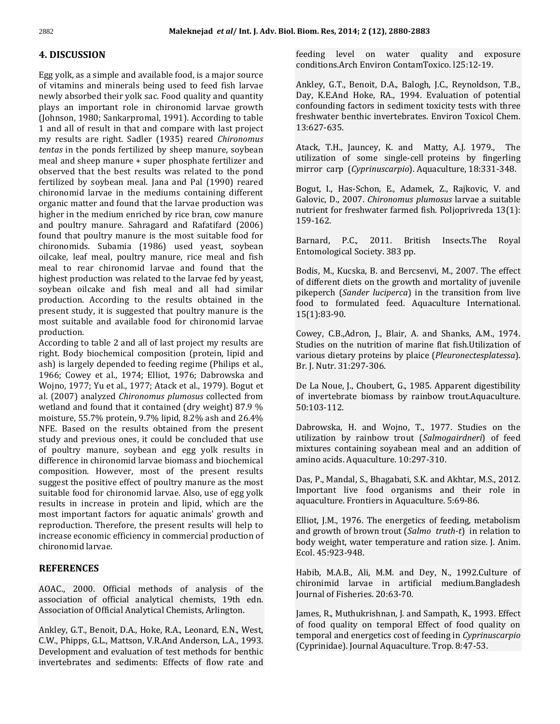# <sup>2882</sup><br>4. DISCUSSION

**ISCUSSION**<br>volk, as a simple and available food, is a major source **DISCUSSION**<br>g yolk, as a simple and available food, is a major source<br>vitamins and minerals being used to feed fish larvae lk, as a simple and available food, is a major source<br>mins and minerals being used to feed fish larvae<br>absorbed their volk sac. Food quality and quantity Egg y Ik, as a simple and available food, is a major source<br>mins and minerals being used to feed fish larvae  $A$ <br>absorbed their yolk sac. Food quality and quantity  $\Gamma$ <br>an important role in chironomid larvae growth of vitami is and minerals being used to feed fish larvae<br>orbed their yolk sac. Food quality and quantity<br>important role in chironomid larvae growth<br>1980: Sankarpromal, 1991). According to table newly absorbed their yolk sac. Food quality and quantity<br>plays an important role in chironomid larvae growth<br>(Johnson, 1980; Sankarpromal, 1991). According to table<br>1 and all of result in that and compare with last project plays an important role in chironomid larvae growth<br>(Johnson, 1980; Sankarpromal, 1991). According to table<br>1 and all of result in that and compare with last project<br>my results are right. Sadler (1935) reared *Chironomus* (Johnson, 1980; Sankarpromal, 1991). According to table<br>1 and all of result in that and compare with last project<br>my results are right. Sadler (1935) reared *Chironomus*<br>tentas in the ponds fertilized by sheep manure, soyb 1 and all of result in that and compare with last project<br>my results are right. Sadler (1935) reared *Chironomus*<br>tentas in the ponds fertilized by sheep manure, soybean<br>meal and sheep manure + super phosphate fertilizer my results are right. Sadler (1935) reared Chironomus s are right. Sadler (1935) reared *Chironomus*<br>the ponds fertilized by sheep manure, soybean<br>sheep manure + super phosphate fertilizer and<br>that the best results was related to the pond tentas in the ponds fertilized by sheep manure, soybean the ponds fertilized by sheep manure, soybean<br>sheep manure + super phosphate fertilizer and<br>that the best results was related to the pond<br>by soybean meal. Iana and Pal (1990) reared meal and sheep manure + super phosphate fertilizer and<br>observed that the best results was related to the pond<br>fertilized by soybean meal. Jana and Pal (1990) reared<br>chironomid larvae in the mediums containing different observed that the best results was related to the pond d that the best results was related to the pond<br>d by soybean meal. Jana and Pal (1990) reared<br>mid larvae in the mediums containing different<br>matter and found that the larvae production was fertiliz ed by soybean meal. Jana and Pal (1990) reared<br>bomid larvae in the mediums containing different<br>contraction was<br>in the medium enriched by rice bran, cow manure chironomid larvae in the mediums containing different pould larvae in the mediums containing different<br>nic matter and found that the larvae production was<br>pr in the medium enriched by rice bran, cow manure<br>poultry manure. Sahragard and Rafatifard (2006) organic matter and found that the larvae production was<br>higher in the medium enriched by rice bran, cow manure<br>and poultry manure. Sahragard and Rafatifard (2006)<br>found that poultry manure is the most suitable food for higher in the medium enriched by rice bran, cow manure edium enriched by rice bran, cow manure<br>
anure. Sahragard and Rafatifard (2006)<br>
ltry manure is the most suitable food for<br>
Subamia (1986) used veast. sovbean and poultry manure. Sahragard and Rafatifard (2006) ltry manure. Sahragard and Rafatifard (2006)<br>at poultry manure is the most suitable food for<br>nids. Subamia (1986) used yeast, soybean<br>leaf meal, poultry manure, rice meal and fish found that poultry manure is the most suitable food for<br>chironomids. Subamia (1986) used yeast, soybean<br>oilcake, leaf meal, poultry manure, rice meal and fish<br>meal to rear chironomid larvae and found that the chironomids. Subamia (1986) used yeast, soybean oilcake, leaf meal, poultry manure, rice meal and fish meal to rear chironomid larvae and found that the highest production was related to the larvae fed by yeast. oilcake, leaf meal, poultry manure, rice meal and fish meal to rear chironomid larvae and found that the r chironomid larvae and found that the<br>uction was related to the larvae fed by yeast,<br>take and fish meal and all had similar<br>According to the results obtained in the highest production was related to the larvae fed by yeast,<br>soybean oilcake and fish meal and all had similar<br>production. According to the results obtained in the<br>present study, it is suggested that poultry manure is the soybean oilcake and fish meal and all had similar<br>production. According to the results obtained in the<br>present study, it is suggested that poultry manure is the<br>most suitable and available food for chironomid larvae production. According to the results obtained in the present study, it is suggested that poultry manure is the<br>most suitable and available food for chironomid larvae<br>production.<br>According to table 2 and all of last project my results are most suitable and available food for chironomid larvae<br>production. (Correction composition of last project my results are specifical composition (protein, lipid and  $\frac{1}{2}$ production.

production.<br>According to table 2 and all of last project my results are<br>right. Body biochemical composition (protein, lipid and<br>ash) is largely depended to feeding regime (Philips et al., ling to table 2 and all of last project my results are<br>
Body biochemical composition (protein, lipid and vargely depended to feeding regime (Philips et al., E<br>
Cowey et al., 1974: Elliot, 1976: Dabrowska and right. E ody biochemical composition (protein, lipid and<br>largely depended to feeding regime (Philips et al.,<br>lowey et al., 1974; Elliot, 1976; Dabrowska and<br>1977: Yu et al., 1977: Atack et al., 1979). Bogut et ash) is largely depended to feeding regime (Philips et al., (2007) is largely depended to feeding regime (Philips et al., and plumosus collected from the Lamond Captity of the Lamond Captity *Plumosus* collected from the Captity of the Captity analyzed *Chironomus plumosus* collect 1966; Cowey et al., 1974; Elliot, 1976; Dabrowska and<br>Wojno, 1977; Yu et al., 1977; Atack et al., 1979). Bogut et De La and (2007) analyzed *Chironomus plumosus* collected from of invertiand and found that it contained (d Wojno, 1977; Yu et al., 1977; Atack et al., 1979). Bogut et 77; Yu et al., 1977; Atack et al., 1979). Bogut et De La analyzed *Chironomus plumosus* collected from of inversion of the function of the 50:103<br>55.7% protein, 9.7% lipid, 8.2% ash and 26.4% al. (2007) analyzed Chironomus plumosus collected from 007) analyzed *Chironomus plumosus* collected from<br>nd and found that it contained (dry weight) 87.9 %<br>ure, 55.7% protein, 9.7% lipid, 8.2% ash and 26.4%<br>Based on the results obtained from the present wetland and found that it contained (dry weight) 87.9 %<br>moisture, 55.7% protein, 9.7% lipid, 8.2% ash and 26.4%<br>NFE. Based on the results obtained from the present<br>study and previous ones, it could be concluded that use moisture, 55.7% protein, 9.7% lipid, 8.2% ash and 26.4% isture, 55.7% protein, 9.7% lipid, 8.2% ash and 26.4%<br>E. Based on the results obtained from the present L<br>dy and previous ones, it could be concluded that use up<br>poultry manure, soybean and egg yolk results in NFE. Base d on the results obtained from the present<br>previous ones, it could be concluded that use<br>manure, soybean and egg yolk results in<br>in chironomid larvae biomass and biochemical study and previous ones, it could be concluded that use vious ones, it could be concluded that use<br>anure, soybean and egg yolk results in<br>hironomid larvae biomass and biochemical<br>However, most of the present results of poultry manure, soybean and egg yolk results in<br>difference in chironomid larvae biomass and biochemical<br>composition. However, most of the present results<br>suggest the positive effect of poultry manure as the most difference in chironomid larvae biomass and biochemical Frace in chironomid larvae biomass and biochemical<br>tion. However, most of the present results<br>the positive effect of poultry manure as the most<br>food for chironomid larvae. Also, use of egg yolk composition. However, most of the present results ition. However, most of the present results<br>the positive effect of poultry manure as the most<br>food for chironomid larvae. Also, use of egg yolk<br>in increase in protein and lipid, which are the sugg st the positive effect of poultry manure as the most<br>ble food for chironomid larvae. Also, use of egg yolk<br>s in increase in protein and lipid, which are the<br>important factors for aquatic animals' growth and suitable food for chironomid larvae. Also, use of egg yolk<br>results in increase in protein and lipid, which are the<br>most important factors for aquatic animals' growth and<br>reproduction. Therefore, the present results will h results in increase in protein and lipid, which are the n increase in protein and lipid, which are the<br>portant factors for aquatic animals' growth and<br>tion. Therefore, the present results will help to<br>economic efficiency in commercial production of most important factor<br>reproduction. Therefo<br>increase economic effi<br>chironomid larvae.

# **REFERENCES**

 $2000$ . Official methods of analysis of the **REFERENCES**<br>AOAC., 2000. Official methods of analysis of the<br>association of official analytical chemists. 19th edn. AOAC., 2000. Official methods of analysis of th<br>association of official analytical chemists, 19th edi<br>Association. Analytical Chemists, Arlington. association of official analytical chemists, 19th edn.<br>Association of Official Analytical Chemists, Arlington.<br>Anklev. G.T., Benoit. D.A., Hoke, R.A., Leonard, E.N., West.

Association of Official Analytical Chemists, Arlington.<br>Ankley, G.T., Benoit, D.A., Hoke, R.A., Leonard, E.N., West,<br>C.W., Phipps, G.L., Mattson, V.R.And Anderson, L.A., 1993. enoit, D.A., Hoke, R.A., Leonard, E.N., West,<br>G.L., Mattson, V.R.And Anderson, L.A., 1993.<br>and evaluation of test methods for benthic Ankley, G.T., Benoit, D.A., Hoke, R.A., Leonard, E.N., West,<br>C.W., Phipps, G.L., Mattson, V.R.And Anderson, L.A., 1993.<br>Development and evaluation of test methods for benthic<br>invertebrates and sediments: Effects of flow ra

2014; 2 (12), 2880-2883<br>level on water quality and exposure Biom. Res, 2014; 2 (12), 2880-2883<br>feeding level on water quality and expos<br>conditions.Arch Environ ContamToxico. 125:12-19. feeding level on water quality and exposure<br>conditions.Arch\_Environ\_ContamToxico.125:12-19.<br>Anklev. G.T., Benoit. D.A., Balogh, I.C., Reynoldson, T.B.,

tions.Arch Environ ContamToxico. l25:12-19.<br>y, G.T., Benoit, D.A., Balogh, J.C., Reynoldson, T.B.,<br>K.E.And Hoke. RA., 1994. Evaluation of potential Benoit, D.A., Balogh, J.C., Reynoldson, T.B.,<br>Hoke, RA., 1994. Evaluation of potential<br>factors in sediment toxicity tests with three Ankley, G.T., Benoit, D.A., Balogh, J.C., Reynoldson, T.B., Ankley, G.T., Benoit, D.A., Balogh, J.C., Reynoldson, T.B., Day, K.E.And Hoke, RA., 1994. Evaluation of potential confounding factors in sediment toxicity tests with three freshwater benthic invertebrates. Environ Toxicol freshwater benthic invertebrates. Environ Toxicol Chem.<br>13:627-635.<br>Atack. T.H., Jauncev. K. and Matty. A.J. 1979., The  $13:627-635.$ 

Atack, T.H., Jauncey, K. and Matty, A.J. 1979., The Atack, T.H., Jauncey, K. and Matty, A.J. 1979., The<br>utilization of some single-cell proteins by fingerling<br>mirror carp (*Cyprinuscarpio*). Aquaculture, 18:331-348. on of some single-cell proteins by fingerling<br>carp (*Cyprinuscarpio*). Aquaculture, 18:331-348.<br>I., Has-Schon, E., Adamek, Z., Rajkovic, V. and mirror carp (Cyprinuscarpio). Aquaculture, 18:331-348.

rarp (*Cyprinuscarpio*). Aquaculture, 18:331-348.<br>., Has-Schon, E., Adamek, Z., Rajkovic, V. and<br>D., 2007. *Chironomus plumosus* larvae a suitable For Freshington, E., Adamek, Z., Rajkovic, V. and Galovic, D., 2007. Chironomus plumosus larvae a suitable<br>nutrient for freshwater farmed fish. Polioprivreda 13(1): nutrient for freshwater farmed fish. Poljoprivreda 13(1):<br>159-162.<br>Barnard. P.C., 2011. British Insects.The Royal 159-162.

159-162.<br>Barnard, P.C., 2011. British<br>Entomological Societv. 383 pp. d, P.C., 2011. British Insects.The Royal<br>ological Society. 383 pp.<br>M., Kucska, B. and Bercsenvi, M., 2007. The effect pikeperchang perché

tomological Society. 383 pp.<br>dis, M., Kucska, B. and Bercsenvi, M., 2007. The effect<br>different diets on the growth and mortality of juvenile Kucska, B. and Bercsenvi, M., 2007. The effect<br> *L* diets on the growth and mortality of juvenile<br> *(Sander luciperca*) in the transition from live Bodis, M., Kucska, B. and Bercsenvi, M., 2007. The effect of different diets on the growth and mortality of juvenile pikeperch (*Sander luciperca*) in the transition from live food to formulated feed. Aquaculture Internati food to formulated feed. Aquaculture International.<br>15(1):83-90.<br>Cowey, C.B.,Adron, L. Blair, A. and Shanks, A.M., 1974.  $\ddot{\phantom{0}}$ 

3-90.<br>C.B.,Adron, J., Blair, A. and Shanks, A.M., 1974.<br>on the nutrition of marine flat fish.Utilization of Cowey, C.B.,Adron, J., Blair, A. and Shanks, A.M., 1974.<br>Studies on the nutrition of marine flat fish.Utilization of<br>various dietary proteins by plaice (*Pleuronectesplatessa*). Cowey, C.B.,Adron, J., Blain<br>Studies on the nutrition of<br>various dietary proteins b<br>Br. I. Nutr. 31:297-306. Studies on the nutrition of marine flat fish. Utilization of various dietary proteins by plaice (*Pleuronectesplatessa*). Br. J. Nutr. 31:297-306.

De La Noue, J., Choubert, G., 1985. Apparent digestibility. of invertebrate biomass by rainbow trout.Aquaculture.<br>50:103-112.<br>Dabrowska, H. and Woino, T., 1977. Studies on the 50:103-112. mixtures

by rainbow trout (*Salmogairdneri*) of feed<br>by rainbow trout (*Salmogairdneri*) of feed ra, H. and Wojno, T., 1977. Studies on the<br>I by rainbow trout (*Salmogairdneri*) of feed<br>containing sovabean meal and an addition of Dabro Dabrowska, H. and Wojno, T., 1977. Sutilization by rainbow trout (*Salmogain*)<br>mixtures containing soyabean meal and<br>amino acids. Aquaculture. 10:297-310. mixtures containing soyabean meal and an addition of amino acids. Aquaculture. 10:297-310.<br>Das, P., Mandal, S., Bhagabati, S.K. and Akhtar, M.S., 2012.  $\mathcal{L}_{\mathcal{A}}$ 

Aquaculture. 10:297-310.<br>dal, S., Bhagabati, S.K. and Akhtar, M.S., 2012.<br>live food organisms and their role in I<br>Das, P., Mandal, S., Bhagabati, S.K. and Akhtar, M.S.<br>Important live food organisms and their r<br>aquaculture. Frontiers in Aquaculture. 5:69-86. Frant live food organisms and their role in alture. Frontiers in Aquaculture. 5:69-86.<br>I.M., 1976. The energetics of feeding, metabolism aquaculture. Frontiers in Aquaculture. 5:69-86. body

Elliot, J.M., 1976. The energetics of feeding, metabolism and growth of brown trout (Salmo truth-t) in relation to Elliot, J.M., 1976. Th<br>and growth of brown<br>body weight, water t<br>Ecol. 45:923-948. eight, water temperature and ration size. J. Anim.<br>:923-948.<br>M.A.B., Ali, M.M. and Dev. N., 1992.Culture of Ecol. 45:923-948.

948.<br>., Ali, M.M. and Dey, N., 1992.Culture of<br>larvae in artificial medium.Bangladesh M.A.B., Ali, M.M. and De<br>nid larvae in artificia<br>of Fisheries. 20:63-70. chironimid larvae in artificial medium.Bangladesh<br>Journal of Fisheries. 20:63-70.<br>James. R., Muthukrishnan, I. and Sampath, K., 1993. Effect Journal of Fisheries. 20:63-70. temporal

rnal of Fisheries. 20:63-70.<br>nes, R., Muthukrishnan, J. and Sampath, K., 1993. Effect<br>food quality on temporal Effect of food quality on Muthukrishnan, J. and Sampath, K., 1993. Effect<br>
uality on temporal Effect of food quality on<br>
and energetics cost of feeding in *Cyprinuscarpio* James, R., Muthukrishnan, J. and Sampath, K., 199<br>of food quality on temporal Effect of food qu<br>temporal and energetics cost of feeding in *Cyprin*<br>(Cyprinidae). Journal Aquaculture. Trop. 8:47-53.